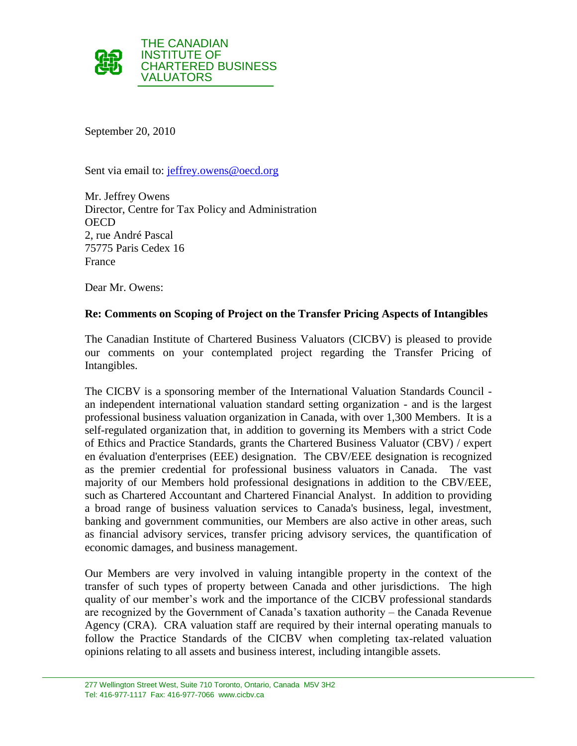

September 20, 2010

Sent via email to: [jeffrey.owens@oecd.org](mailto:jeffrey.owens@oecd.org)

Mr. Jeffrey Owens Director, Centre for Tax Policy and Administration **OECD** 2, rue André Pascal 75775 Paris Cedex 16 France

Dear Mr. Owens:

#### **Re: Comments on Scoping of Project on the Transfer Pricing Aspects of Intangibles**

The Canadian Institute of Chartered Business Valuators (CICBV) is pleased to provide our comments on your contemplated project regarding the Transfer Pricing of Intangibles.

The CICBV is a sponsoring member of the International Valuation Standards Council an independent international valuation standard setting organization - and is the largest professional business valuation organization in Canada, with over 1,300 Members. It is a self-regulated organization that, in addition to governing its Members with a strict Code of Ethics and Practice Standards, grants the Chartered Business Valuator (CBV) / expert en évaluation d'enterprises (EEE) designation. The CBV/EEE designation is recognized as the premier credential for professional business valuators in Canada. The vast majority of our Members hold professional designations in addition to the CBV/EEE, such as Chartered Accountant and Chartered Financial Analyst. In addition to providing a broad range of business valuation services to Canada's business, legal, investment, banking and government communities, our Members are also active in other areas, such as financial advisory services, transfer pricing advisory services, the quantification of economic damages, and business management.

Our Members are very involved in valuing intangible property in the context of the transfer of such types of property between Canada and other jurisdictions. The high quality of our member's work and the importance of the CICBV professional standards are recognized by the Government of Canada's taxation authority – the Canada Revenue Agency (CRA). CRA valuation staff are required by their internal operating manuals to follow the Practice Standards of the CICBV when completing tax-related valuation opinions relating to all assets and business interest, including intangible assets.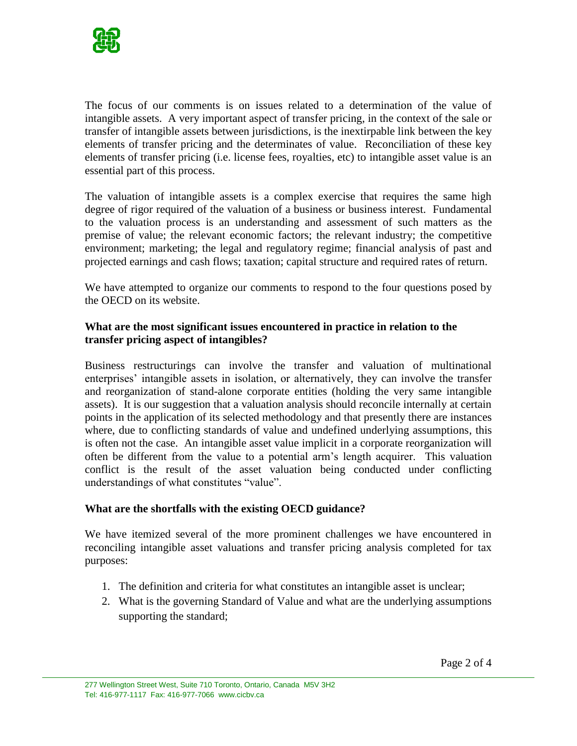

The focus of our comments is on issues related to a determination of the value of intangible assets. A very important aspect of transfer pricing, in the context of the sale or transfer of intangible assets between jurisdictions, is the inextirpable link between the key elements of transfer pricing and the determinates of value. Reconciliation of these key elements of transfer pricing (i.e. license fees, royalties, etc) to intangible asset value is an essential part of this process.

The valuation of intangible assets is a complex exercise that requires the same high degree of rigor required of the valuation of a business or business interest. Fundamental to the valuation process is an understanding and assessment of such matters as the premise of value; the relevant economic factors; the relevant industry; the competitive environment; marketing; the legal and regulatory regime; financial analysis of past and projected earnings and cash flows; taxation; capital structure and required rates of return.

We have attempted to organize our comments to respond to the four questions posed by the OECD on its website.

## **What are the most significant issues encountered in practice in relation to the transfer pricing aspect of intangibles?**

Business restructurings can involve the transfer and valuation of multinational enterprises' intangible assets in isolation, or alternatively, they can involve the transfer and reorganization of stand-alone corporate entities (holding the very same intangible assets). It is our suggestion that a valuation analysis should reconcile internally at certain points in the application of its selected methodology and that presently there are instances where, due to conflicting standards of value and undefined underlying assumptions, this is often not the case. An intangible asset value implicit in a corporate reorganization will often be different from the value to a potential arm's length acquirer. This valuation conflict is the result of the asset valuation being conducted under conflicting understandings of what constitutes "value".

# **What are the shortfalls with the existing OECD guidance?**

We have itemized several of the more prominent challenges we have encountered in reconciling intangible asset valuations and transfer pricing analysis completed for tax purposes:

- 1. The definition and criteria for what constitutes an intangible asset is unclear;
- 2. What is the governing Standard of Value and what are the underlying assumptions supporting the standard;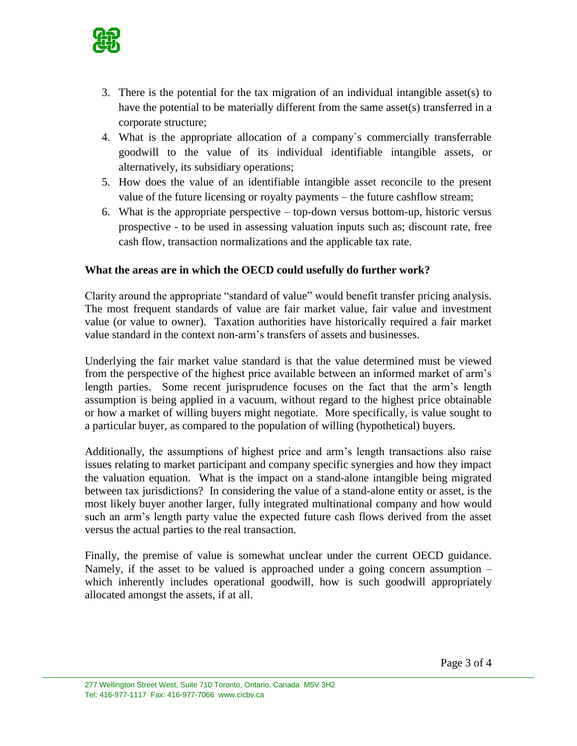

- 3. There is the potential for the tax migration of an individual intangible asset(s) to have the potential to be materially different from the same asset(s) transferred in a corporate structure;
- 4. What is the appropriate allocation of a company`s commercially transferrable goodwill to the value of its individual identifiable intangible assets, or alternatively, its subsidiary operations;
- 5. How does the value of an identifiable intangible asset reconcile to the present value of the future licensing or royalty payments – the future cashflow stream;
- 6. What is the appropriate perspective top-down versus bottom-up, historic versus prospective - to be used in assessing valuation inputs such as; discount rate, free cash flow, transaction normalizations and the applicable tax rate.

## **What the areas are in which the OECD could usefully do further work?**

Clarity around the appropriate "standard of value" would benefit transfer pricing analysis. The most frequent standards of value are fair market value, fair value and investment value (or value to owner). Taxation authorities have historically required a fair market value standard in the context non-arm's transfers of assets and businesses.

Underlying the fair market value standard is that the value determined must be viewed from the perspective of the highest price available between an informed market of arm's length parties. Some recent jurisprudence focuses on the fact that the arm's length assumption is being applied in a vacuum, without regard to the highest price obtainable or how a market of willing buyers might negotiate. More specifically, is value sought to a particular buyer, as compared to the population of willing (hypothetical) buyers.

Additionally, the assumptions of highest price and arm's length transactions also raise issues relating to market participant and company specific synergies and how they impact the valuation equation. What is the impact on a stand-alone intangible being migrated between tax jurisdictions? In considering the value of a stand-alone entity or asset, is the most likely buyer another larger, fully integrated multinational company and how would such an arm's length party value the expected future cash flows derived from the asset versus the actual parties to the real transaction.

Finally, the premise of value is somewhat unclear under the current OECD guidance. Namely, if the asset to be valued is approached under a going concern assumption – which inherently includes operational goodwill, how is such goodwill appropriately allocated amongst the assets, if at all.